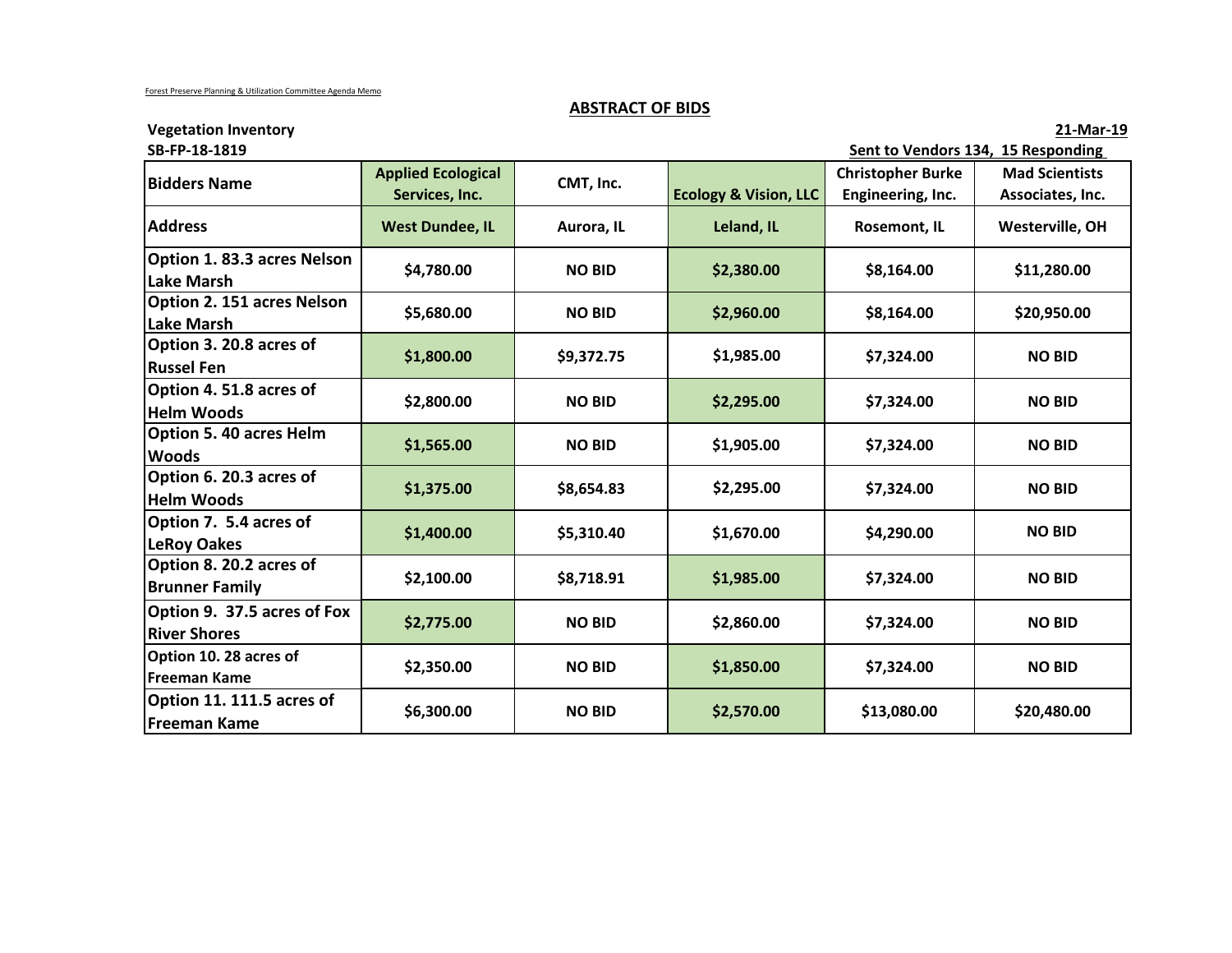# **ABSTRACT OF BIDS**

**Vegetation Inventory 21-Mar-19**

| SB-FP-18-1819                                      |                                             |               | Sent to Vendors 134, 15 Responding |                                               |                                           |  |
|----------------------------------------------------|---------------------------------------------|---------------|------------------------------------|-----------------------------------------------|-------------------------------------------|--|
| <b>Bidders Name</b>                                | <b>Applied Ecological</b><br>Services, Inc. | CMT, Inc.     | <b>Ecology &amp; Vision, LLC</b>   | <b>Christopher Burke</b><br>Engineering, Inc. | <b>Mad Scientists</b><br>Associates, Inc. |  |
| <b>Address</b>                                     | <b>West Dundee, IL</b>                      | Aurora, IL    | Leland, IL                         | <b>Rosemont, IL</b>                           | Westerville, OH                           |  |
| Option 1.83.3 acres Nelson<br><b>Lake Marsh</b>    | \$4,780.00                                  | <b>NO BID</b> | \$2,380.00                         | \$8,164.00                                    | \$11,280.00                               |  |
| Option 2. 151 acres Nelson<br><b>Lake Marsh</b>    | \$5,680.00                                  | <b>NO BID</b> | \$2,960.00                         | \$8,164.00                                    | \$20,950.00                               |  |
| Option 3. 20.8 acres of<br><b>Russel Fen</b>       | \$1,800.00                                  | \$9,372.75    | \$1,985.00                         | \$7,324.00                                    | <b>NO BID</b>                             |  |
| Option 4.51.8 acres of<br><b>Helm Woods</b>        | \$2,800.00                                  | <b>NO BID</b> | \$2,295.00                         | \$7,324.00                                    | <b>NO BID</b>                             |  |
| <b>Option 5.40 acres Helm</b><br><b>Woods</b>      | \$1,565.00                                  | <b>NO BID</b> | \$1,905.00                         | \$7,324.00                                    | <b>NO BID</b>                             |  |
| Option 6. 20.3 acres of<br><b>Helm Woods</b>       | \$1,375.00                                  | \$8,654.83    | \$2,295.00                         | \$7,324.00                                    | <b>NO BID</b>                             |  |
| Option 7. 5.4 acres of<br><b>LeRoy Oakes</b>       | \$1,400.00                                  | \$5,310.40    | \$1,670.00                         | \$4,290.00                                    | <b>NO BID</b>                             |  |
| Option 8. 20.2 acres of<br><b>Brunner Family</b>   | \$2,100.00                                  | \$8,718.91    | \$1,985.00                         | \$7,324.00                                    | <b>NO BID</b>                             |  |
| Option 9. 37.5 acres of Fox<br><b>River Shores</b> | \$2,775.00                                  | <b>NO BID</b> | \$2,860.00                         | \$7,324.00                                    | <b>NO BID</b>                             |  |
| Option 10. 28 acres of<br><b>Freeman Kame</b>      | \$2,350.00                                  | <b>NO BID</b> | \$1,850.00                         | \$7,324.00                                    | <b>NO BID</b>                             |  |
| Option 11. 111.5 acres of<br><b>Freeman Kame</b>   | \$6,300.00                                  | <b>NO BID</b> | \$2,570.00                         | \$13,080.00                                   | \$20,480.00                               |  |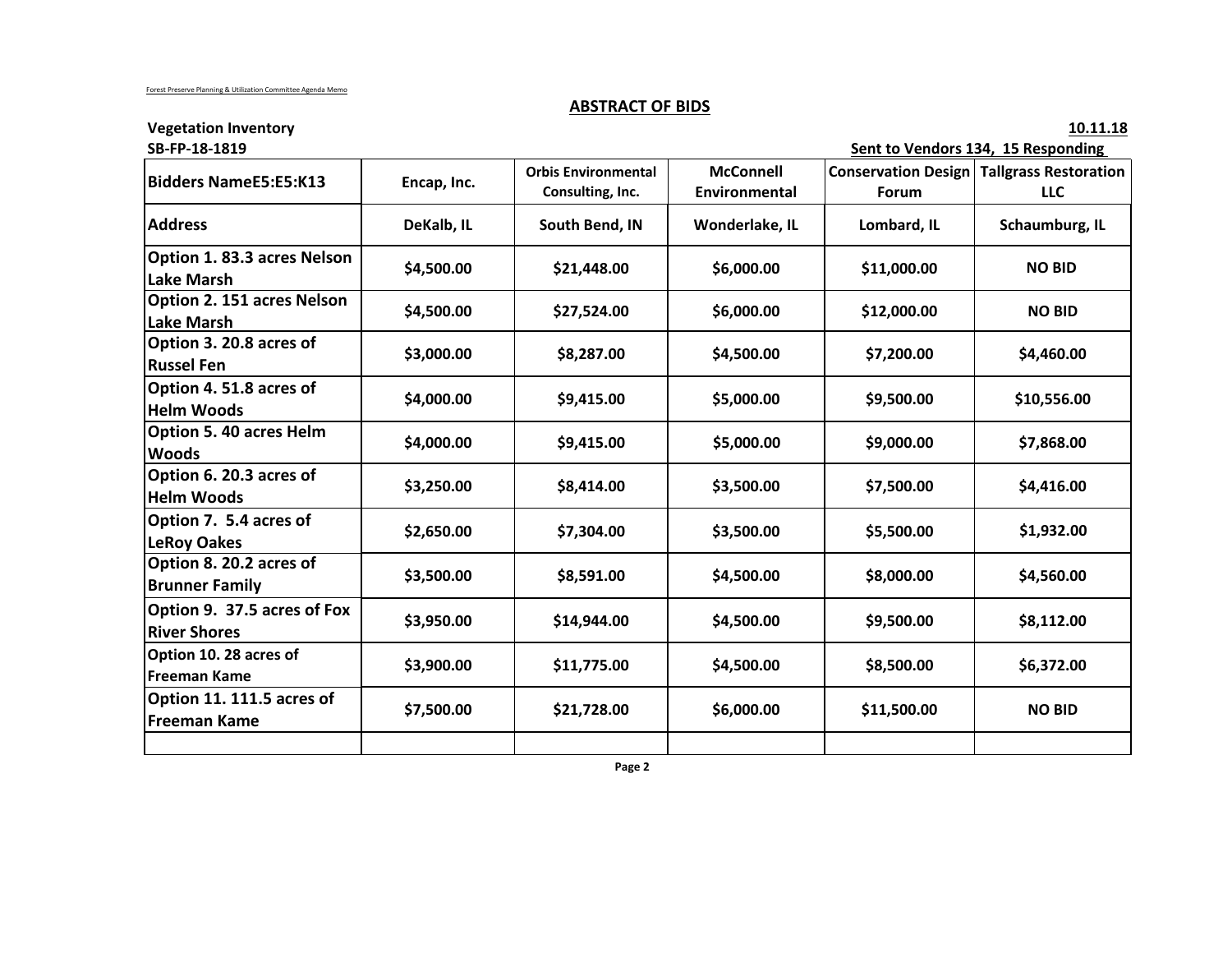# **ABSTRACT OF BIDS**

**Vegetation Inventory** 10.11.18

| SB-FP-18-1819                                      |             |                                                |                                   | Sent to Vendors 134, 15 Responding |                                                         |  |
|----------------------------------------------------|-------------|------------------------------------------------|-----------------------------------|------------------------------------|---------------------------------------------------------|--|
| <b>Bidders NameE5:E5:K13</b>                       | Encap, Inc. | <b>Orbis Environmental</b><br>Consulting, Inc. | <b>McConnell</b><br>Environmental | Forum                              | <b>Conservation Design Tallgrass Restoration</b><br>LLC |  |
| <b>Address</b>                                     | DeKalb, IL  | South Bend, IN                                 | Wonderlake, IL                    | Lombard, IL                        | Schaumburg, IL                                          |  |
| Option 1.83.3 acres Nelson<br><b>Lake Marsh</b>    | \$4,500.00  | \$21,448.00                                    | \$6,000.00                        | \$11,000.00                        | <b>NO BID</b>                                           |  |
| Option 2. 151 acres Nelson<br><b>Lake Marsh</b>    | \$4,500.00  | \$27,524.00                                    | \$6,000.00                        | \$12,000.00                        | <b>NO BID</b>                                           |  |
| Option 3. 20.8 acres of<br><b>Russel Fen</b>       | \$3,000.00  | \$8,287.00                                     | \$4,500.00                        | \$7,200.00                         | \$4,460.00                                              |  |
| Option 4.51.8 acres of<br><b>Helm Woods</b>        | \$4,000.00  | \$9,415.00                                     | \$5,000.00                        | \$9,500.00                         | \$10,556.00                                             |  |
| Option 5. 40 acres Helm<br><b>Woods</b>            | \$4,000.00  | \$9,415.00                                     | \$5,000.00                        | \$9,000.00                         | \$7,868.00                                              |  |
| Option 6. 20.3 acres of<br><b>Helm Woods</b>       | \$3,250.00  | \$8,414.00                                     | \$3,500.00                        | \$7,500.00                         | \$4,416.00                                              |  |
| Option 7. 5.4 acres of<br><b>LeRoy Oakes</b>       | \$2,650.00  | \$7,304.00                                     | \$3,500.00                        | \$5,500.00                         | \$1,932.00                                              |  |
| Option 8. 20.2 acres of<br><b>Brunner Family</b>   | \$3,500.00  | \$8,591.00                                     | \$4,500.00                        | \$8,000.00                         | \$4,560.00                                              |  |
| Option 9. 37.5 acres of Fox<br><b>River Shores</b> | \$3,950.00  | \$14,944.00                                    | \$4,500.00                        | \$9,500.00                         | \$8,112.00                                              |  |
| Option 10. 28 acres of<br><b>Freeman Kame</b>      | \$3,900.00  | \$11,775.00                                    | \$4,500.00                        | \$8,500.00                         | \$6,372.00                                              |  |
| Option 11. 111.5 acres of<br><b>Freeman Kame</b>   | \$7,500.00  | \$21,728.00                                    | \$6,000.00                        | \$11,500.00                        | <b>NO BID</b>                                           |  |
|                                                    |             |                                                |                                   |                                    |                                                         |  |

 **Page 2**